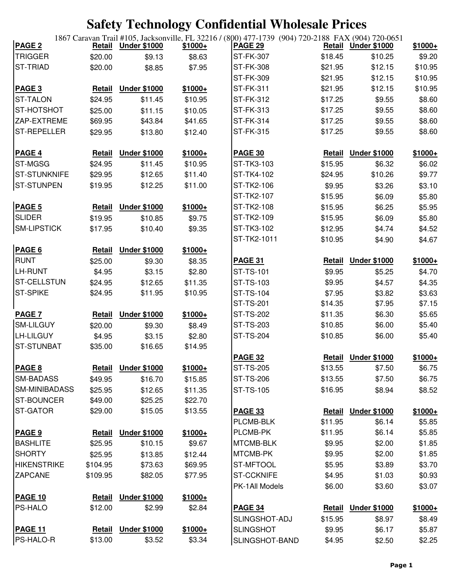| <b>TRIGGER</b><br>\$8.63<br><b>ST-FK-307</b><br>\$18.45<br>\$10.25<br>\$9.20<br>\$20.00<br>\$9.13<br><b>ST-TRIAD</b><br><b>ST-FK-308</b><br>\$12.15<br>\$10.95<br>\$7.95<br>\$21.95<br>\$20.00<br>\$8.85<br>\$12.15<br>\$10.95<br>ST-FK-309<br>\$21.95<br><b>Under \$1000</b><br>\$12.15<br>\$10.95<br>PAGE <sub>3</sub><br>$$1000+$<br>ST-FK-311<br>\$21.95<br><b>Retail</b><br>\$24.95<br>\$11.45<br>\$10.95<br>\$9.55<br>\$8.60<br><b>ST-TALON</b><br>ST-FK-312<br>\$17.25<br>ST-HOTSHOT<br>\$8.60<br>ST-FK-313<br>\$17.25<br>\$9.55<br>\$25.00<br>\$11.15<br>\$10.05<br>ZAP-EXTREME<br><b>ST-FK-314</b><br>\$9.55<br>\$8.60<br>\$69.95<br>\$43.84<br>\$41.65<br>\$17.25<br><b>ST-REPELLER</b><br>\$9.55<br>\$8.60<br>ST-FK-315<br>\$17.25<br>\$12.40<br>\$29.95<br>\$13.80<br><b>Under \$1000</b><br>$$1000+$<br><b>PAGE 4</b><br>Retail<br>$$1000+$<br><b>PAGE 30</b><br><b>Under \$1000</b><br>Retail<br>\$6.02<br><b>ST-MGSG</b><br>\$24.95<br>\$11.45<br>\$10.95<br>ST-TK3-103<br>\$15.95<br>\$6.32<br><b>ST-STUNKNIFE</b><br>\$11.40<br>ST-TK4-102<br>\$29.95<br>\$12.65<br>\$24.95<br>\$10.26<br>\$9.77<br><b>ST-STUNPEN</b><br>ST-TK2-106<br>\$19.95<br>\$12.25<br>\$11.00<br>\$9.95<br>\$3.26<br>\$3.10<br>ST-TK2-107<br>\$6.09<br>\$5.80<br>\$15.95<br>PAGE <sub>5</sub><br>ST-TK2-108<br>Retail<br><b>Under \$1000</b><br>$$1000+$<br>\$6.25<br>\$5.95<br>\$15.95<br><b>SLIDER</b><br>ST-TK2-109<br>\$9.75<br>\$5.80<br>\$19.95<br>\$10.85<br>\$15.95<br>\$6.09<br><b>SM-LIPSTICK</b><br>ST-TK3-102<br>\$17.95<br>\$9.35<br>\$12.95<br>\$10.40<br>\$4.74<br>\$4.52<br>ST-TK2-1011<br>\$10.95<br>\$4.90<br>\$4.67<br>PAGE 6<br><b>Under \$1000</b><br>$$1000+$<br><b>Retail</b><br><b>RUNT</b><br><b>Under \$1000</b><br><b>PAGE 31</b><br>$$1000+$<br>\$25.00<br>\$9.30<br>\$8.35<br><b>Retail</b><br>LH-RUNT<br>\$3.15<br>\$9.95<br>\$4.95<br>\$2.80<br><b>ST-TS-101</b><br>\$5.25<br>\$4.70<br><b>ST-CELLSTUN</b><br>\$24.95<br>\$12.65<br>ST-TS-103<br>\$4.35<br>\$11.35<br>\$9.95<br>\$4.57<br><b>ST-SPIKE</b><br>\$24.95<br>\$11.95<br>\$10.95<br><b>ST-TS-104</b><br>\$7.95<br>\$3.82<br>\$3.63<br>\$7.95<br><b>ST-TS-201</b><br>\$14.35<br>\$7.15<br>\$5.65<br><b>Under \$1000</b><br><b>ST-TS-202</b><br>\$11.35<br>\$6.30<br><b>PAGE 7</b><br>$$1000+$<br><b>Retail</b><br><b>SM-LILGUY</b><br><b>ST-TS-203</b><br>\$5.40<br>\$10.85<br>\$6.00<br>\$20.00<br>\$9.30<br>\$8.49<br><b>LH-LILGUY</b><br><b>ST-TS-204</b><br>\$6.00<br>\$5.40<br>\$10.85<br>\$3.15<br>\$4.95<br>\$2.80<br><b>ST-STUNBAT</b><br>\$16.65<br>\$35.00<br>\$14.95<br>PAGE 32<br>\$1000+<br>Retail Under \$1000<br>PAGE 8<br><b>Under \$1000</b><br>$$1000+$<br><b>ST-TS-205</b><br>\$13.55<br>\$7.50<br><b>Retail</b><br><b>SM-BADASS</b><br><b>ST-TS-206</b><br>\$13.55<br>\$7.50<br>\$49.95<br>\$16.70<br>\$15.85<br><b>SM-MINIBADASS</b><br>\$25.95<br>\$12.65<br>\$11.35<br><b>ST-TS-105</b><br>\$16.95<br>\$8.94<br><b>ST-BOUNCER</b><br>\$25.25<br>\$49.00<br>\$22.70<br><b>ST-GATOR</b><br>\$29.00<br>\$15.05<br>\$13.55<br><b>PAGE 33</b><br>Retail<br><b>Under \$1000</b><br>PLCMB-BLK<br>\$11.95<br>\$6.14<br><b>Under \$1000</b><br>PLCMB-PK<br>\$11.95<br>\$6.14<br>PAGE 9<br>$$1000+$<br><b>Retail</b><br><b>BASHLITE</b><br>\$10.15<br>\$9.67<br>\$25.95<br>MTCMB-BLK<br>\$9.95<br>\$2.00<br><b>SHORTY</b><br>MTCMB-PK<br>\$13.85<br>\$12.44<br>\$9.95<br>\$2.00<br>\$25.95<br>\$3.89<br><b>HIKENSTRIKE</b><br>\$104.95<br>\$73.63<br>\$69.95<br>ST-MFTOOL<br>\$5.95<br><b>ZAPCANE</b><br><b>ST-CCKNIFE</b><br>\$82.05<br>\$77.95<br>\$4.95<br>\$1.03<br>\$109.95<br>PK-1All Models<br>\$6.00<br>\$3.60<br><b>Under \$1000</b><br><b>PAGE 10</b><br>Retail<br>$$1000+$<br>\$2.84<br><b>PS-HALO</b><br>\$12.00<br>\$2.99<br><b>PAGE 34</b><br><b>Retail</b><br><b>Under \$1000</b><br>$$1000+$<br>SLINGSHOT-ADJ<br>\$15.95<br>\$8.97<br>\$8.49<br>$$1000+$<br>PAGE 11<br><b>Under \$1000</b><br><b>Retail</b><br><b>SLINGSHOT</b><br>\$9.95<br>\$5.87<br>\$6.17<br>PS-HALO-R<br>\$13.00<br>\$3.52<br>\$3.34<br>SLINGSHOT-BAND<br>\$2.25<br>\$4.95<br>\$2.50 | PAGE <sub>2</sub> | <b>Retail</b> | <b>Under \$1000</b> | ~<br>$$1000+$ | 1867 Caravan Trail #105, Jacksonville, FL 32216 / (800) 477-1739 (904) 720-2188 FAX (904) 720-0651<br><b>PAGE 29</b> | Retail Under \$1000 | $$1000+$ |
|------------------------------------------------------------------------------------------------------------------------------------------------------------------------------------------------------------------------------------------------------------------------------------------------------------------------------------------------------------------------------------------------------------------------------------------------------------------------------------------------------------------------------------------------------------------------------------------------------------------------------------------------------------------------------------------------------------------------------------------------------------------------------------------------------------------------------------------------------------------------------------------------------------------------------------------------------------------------------------------------------------------------------------------------------------------------------------------------------------------------------------------------------------------------------------------------------------------------------------------------------------------------------------------------------------------------------------------------------------------------------------------------------------------------------------------------------------------------------------------------------------------------------------------------------------------------------------------------------------------------------------------------------------------------------------------------------------------------------------------------------------------------------------------------------------------------------------------------------------------------------------------------------------------------------------------------------------------------------------------------------------------------------------------------------------------------------------------------------------------------------------------------------------------------------------------------------------------------------------------------------------------------------------------------------------------------------------------------------------------------------------------------------------------------------------------------------------------------------------------------------------------------------------------------------------------------------------------------------------------------------------------------------------------------------------------------------------------------------------------------------------------------------------------------------------------------------------------------------------------------------------------------------------------------------------------------------------------------------------------------------------------------------------------------------------------------------------------------------------------------------------------------------------------------------------------------------------------------------------------------------------------------------------------------------------------------------------------------------------------------------------------------------------------------------------------------------------------------------------------------------------------------------------------------------------------------------------------------------------------------------------------------------------------------------------------------------------------------------------------------------------------------------------------------------------------------------------------------------------------------------------------------------------------------------------------------------------------------------------------------------------------------------------------------------------------------|-------------------|---------------|---------------------|---------------|----------------------------------------------------------------------------------------------------------------------|---------------------|----------|
|                                                                                                                                                                                                                                                                                                                                                                                                                                                                                                                                                                                                                                                                                                                                                                                                                                                                                                                                                                                                                                                                                                                                                                                                                                                                                                                                                                                                                                                                                                                                                                                                                                                                                                                                                                                                                                                                                                                                                                                                                                                                                                                                                                                                                                                                                                                                                                                                                                                                                                                                                                                                                                                                                                                                                                                                                                                                                                                                                                                                                                                                                                                                                                                                                                                                                                                                                                                                                                                                                                                                                                                                                                                                                                                                                                                                                                                                                                                                                                                                                                                                        |                   |               |                     |               |                                                                                                                      |                     |          |
|                                                                                                                                                                                                                                                                                                                                                                                                                                                                                                                                                                                                                                                                                                                                                                                                                                                                                                                                                                                                                                                                                                                                                                                                                                                                                                                                                                                                                                                                                                                                                                                                                                                                                                                                                                                                                                                                                                                                                                                                                                                                                                                                                                                                                                                                                                                                                                                                                                                                                                                                                                                                                                                                                                                                                                                                                                                                                                                                                                                                                                                                                                                                                                                                                                                                                                                                                                                                                                                                                                                                                                                                                                                                                                                                                                                                                                                                                                                                                                                                                                                                        |                   |               |                     |               |                                                                                                                      |                     |          |
|                                                                                                                                                                                                                                                                                                                                                                                                                                                                                                                                                                                                                                                                                                                                                                                                                                                                                                                                                                                                                                                                                                                                                                                                                                                                                                                                                                                                                                                                                                                                                                                                                                                                                                                                                                                                                                                                                                                                                                                                                                                                                                                                                                                                                                                                                                                                                                                                                                                                                                                                                                                                                                                                                                                                                                                                                                                                                                                                                                                                                                                                                                                                                                                                                                                                                                                                                                                                                                                                                                                                                                                                                                                                                                                                                                                                                                                                                                                                                                                                                                                                        |                   |               |                     |               |                                                                                                                      |                     |          |
|                                                                                                                                                                                                                                                                                                                                                                                                                                                                                                                                                                                                                                                                                                                                                                                                                                                                                                                                                                                                                                                                                                                                                                                                                                                                                                                                                                                                                                                                                                                                                                                                                                                                                                                                                                                                                                                                                                                                                                                                                                                                                                                                                                                                                                                                                                                                                                                                                                                                                                                                                                                                                                                                                                                                                                                                                                                                                                                                                                                                                                                                                                                                                                                                                                                                                                                                                                                                                                                                                                                                                                                                                                                                                                                                                                                                                                                                                                                                                                                                                                                                        |                   |               |                     |               |                                                                                                                      |                     |          |
|                                                                                                                                                                                                                                                                                                                                                                                                                                                                                                                                                                                                                                                                                                                                                                                                                                                                                                                                                                                                                                                                                                                                                                                                                                                                                                                                                                                                                                                                                                                                                                                                                                                                                                                                                                                                                                                                                                                                                                                                                                                                                                                                                                                                                                                                                                                                                                                                                                                                                                                                                                                                                                                                                                                                                                                                                                                                                                                                                                                                                                                                                                                                                                                                                                                                                                                                                                                                                                                                                                                                                                                                                                                                                                                                                                                                                                                                                                                                                                                                                                                                        |                   |               |                     |               |                                                                                                                      |                     |          |
|                                                                                                                                                                                                                                                                                                                                                                                                                                                                                                                                                                                                                                                                                                                                                                                                                                                                                                                                                                                                                                                                                                                                                                                                                                                                                                                                                                                                                                                                                                                                                                                                                                                                                                                                                                                                                                                                                                                                                                                                                                                                                                                                                                                                                                                                                                                                                                                                                                                                                                                                                                                                                                                                                                                                                                                                                                                                                                                                                                                                                                                                                                                                                                                                                                                                                                                                                                                                                                                                                                                                                                                                                                                                                                                                                                                                                                                                                                                                                                                                                                                                        |                   |               |                     |               |                                                                                                                      |                     |          |
|                                                                                                                                                                                                                                                                                                                                                                                                                                                                                                                                                                                                                                                                                                                                                                                                                                                                                                                                                                                                                                                                                                                                                                                                                                                                                                                                                                                                                                                                                                                                                                                                                                                                                                                                                                                                                                                                                                                                                                                                                                                                                                                                                                                                                                                                                                                                                                                                                                                                                                                                                                                                                                                                                                                                                                                                                                                                                                                                                                                                                                                                                                                                                                                                                                                                                                                                                                                                                                                                                                                                                                                                                                                                                                                                                                                                                                                                                                                                                                                                                                                                        |                   |               |                     |               |                                                                                                                      |                     |          |
|                                                                                                                                                                                                                                                                                                                                                                                                                                                                                                                                                                                                                                                                                                                                                                                                                                                                                                                                                                                                                                                                                                                                                                                                                                                                                                                                                                                                                                                                                                                                                                                                                                                                                                                                                                                                                                                                                                                                                                                                                                                                                                                                                                                                                                                                                                                                                                                                                                                                                                                                                                                                                                                                                                                                                                                                                                                                                                                                                                                                                                                                                                                                                                                                                                                                                                                                                                                                                                                                                                                                                                                                                                                                                                                                                                                                                                                                                                                                                                                                                                                                        |                   |               |                     |               |                                                                                                                      |                     |          |
|                                                                                                                                                                                                                                                                                                                                                                                                                                                                                                                                                                                                                                                                                                                                                                                                                                                                                                                                                                                                                                                                                                                                                                                                                                                                                                                                                                                                                                                                                                                                                                                                                                                                                                                                                                                                                                                                                                                                                                                                                                                                                                                                                                                                                                                                                                                                                                                                                                                                                                                                                                                                                                                                                                                                                                                                                                                                                                                                                                                                                                                                                                                                                                                                                                                                                                                                                                                                                                                                                                                                                                                                                                                                                                                                                                                                                                                                                                                                                                                                                                                                        |                   |               |                     |               |                                                                                                                      |                     |          |
|                                                                                                                                                                                                                                                                                                                                                                                                                                                                                                                                                                                                                                                                                                                                                                                                                                                                                                                                                                                                                                                                                                                                                                                                                                                                                                                                                                                                                                                                                                                                                                                                                                                                                                                                                                                                                                                                                                                                                                                                                                                                                                                                                                                                                                                                                                                                                                                                                                                                                                                                                                                                                                                                                                                                                                                                                                                                                                                                                                                                                                                                                                                                                                                                                                                                                                                                                                                                                                                                                                                                                                                                                                                                                                                                                                                                                                                                                                                                                                                                                                                                        |                   |               |                     |               |                                                                                                                      |                     |          |
|                                                                                                                                                                                                                                                                                                                                                                                                                                                                                                                                                                                                                                                                                                                                                                                                                                                                                                                                                                                                                                                                                                                                                                                                                                                                                                                                                                                                                                                                                                                                                                                                                                                                                                                                                                                                                                                                                                                                                                                                                                                                                                                                                                                                                                                                                                                                                                                                                                                                                                                                                                                                                                                                                                                                                                                                                                                                                                                                                                                                                                                                                                                                                                                                                                                                                                                                                                                                                                                                                                                                                                                                                                                                                                                                                                                                                                                                                                                                                                                                                                                                        |                   |               |                     |               |                                                                                                                      |                     |          |
|                                                                                                                                                                                                                                                                                                                                                                                                                                                                                                                                                                                                                                                                                                                                                                                                                                                                                                                                                                                                                                                                                                                                                                                                                                                                                                                                                                                                                                                                                                                                                                                                                                                                                                                                                                                                                                                                                                                                                                                                                                                                                                                                                                                                                                                                                                                                                                                                                                                                                                                                                                                                                                                                                                                                                                                                                                                                                                                                                                                                                                                                                                                                                                                                                                                                                                                                                                                                                                                                                                                                                                                                                                                                                                                                                                                                                                                                                                                                                                                                                                                                        |                   |               |                     |               |                                                                                                                      |                     |          |
|                                                                                                                                                                                                                                                                                                                                                                                                                                                                                                                                                                                                                                                                                                                                                                                                                                                                                                                                                                                                                                                                                                                                                                                                                                                                                                                                                                                                                                                                                                                                                                                                                                                                                                                                                                                                                                                                                                                                                                                                                                                                                                                                                                                                                                                                                                                                                                                                                                                                                                                                                                                                                                                                                                                                                                                                                                                                                                                                                                                                                                                                                                                                                                                                                                                                                                                                                                                                                                                                                                                                                                                                                                                                                                                                                                                                                                                                                                                                                                                                                                                                        |                   |               |                     |               |                                                                                                                      |                     |          |
|                                                                                                                                                                                                                                                                                                                                                                                                                                                                                                                                                                                                                                                                                                                                                                                                                                                                                                                                                                                                                                                                                                                                                                                                                                                                                                                                                                                                                                                                                                                                                                                                                                                                                                                                                                                                                                                                                                                                                                                                                                                                                                                                                                                                                                                                                                                                                                                                                                                                                                                                                                                                                                                                                                                                                                                                                                                                                                                                                                                                                                                                                                                                                                                                                                                                                                                                                                                                                                                                                                                                                                                                                                                                                                                                                                                                                                                                                                                                                                                                                                                                        |                   |               |                     |               |                                                                                                                      |                     |          |
|                                                                                                                                                                                                                                                                                                                                                                                                                                                                                                                                                                                                                                                                                                                                                                                                                                                                                                                                                                                                                                                                                                                                                                                                                                                                                                                                                                                                                                                                                                                                                                                                                                                                                                                                                                                                                                                                                                                                                                                                                                                                                                                                                                                                                                                                                                                                                                                                                                                                                                                                                                                                                                                                                                                                                                                                                                                                                                                                                                                                                                                                                                                                                                                                                                                                                                                                                                                                                                                                                                                                                                                                                                                                                                                                                                                                                                                                                                                                                                                                                                                                        |                   |               |                     |               |                                                                                                                      |                     |          |
|                                                                                                                                                                                                                                                                                                                                                                                                                                                                                                                                                                                                                                                                                                                                                                                                                                                                                                                                                                                                                                                                                                                                                                                                                                                                                                                                                                                                                                                                                                                                                                                                                                                                                                                                                                                                                                                                                                                                                                                                                                                                                                                                                                                                                                                                                                                                                                                                                                                                                                                                                                                                                                                                                                                                                                                                                                                                                                                                                                                                                                                                                                                                                                                                                                                                                                                                                                                                                                                                                                                                                                                                                                                                                                                                                                                                                                                                                                                                                                                                                                                                        |                   |               |                     |               |                                                                                                                      |                     |          |
|                                                                                                                                                                                                                                                                                                                                                                                                                                                                                                                                                                                                                                                                                                                                                                                                                                                                                                                                                                                                                                                                                                                                                                                                                                                                                                                                                                                                                                                                                                                                                                                                                                                                                                                                                                                                                                                                                                                                                                                                                                                                                                                                                                                                                                                                                                                                                                                                                                                                                                                                                                                                                                                                                                                                                                                                                                                                                                                                                                                                                                                                                                                                                                                                                                                                                                                                                                                                                                                                                                                                                                                                                                                                                                                                                                                                                                                                                                                                                                                                                                                                        |                   |               |                     |               |                                                                                                                      |                     |          |
|                                                                                                                                                                                                                                                                                                                                                                                                                                                                                                                                                                                                                                                                                                                                                                                                                                                                                                                                                                                                                                                                                                                                                                                                                                                                                                                                                                                                                                                                                                                                                                                                                                                                                                                                                                                                                                                                                                                                                                                                                                                                                                                                                                                                                                                                                                                                                                                                                                                                                                                                                                                                                                                                                                                                                                                                                                                                                                                                                                                                                                                                                                                                                                                                                                                                                                                                                                                                                                                                                                                                                                                                                                                                                                                                                                                                                                                                                                                                                                                                                                                                        |                   |               |                     |               |                                                                                                                      |                     |          |
|                                                                                                                                                                                                                                                                                                                                                                                                                                                                                                                                                                                                                                                                                                                                                                                                                                                                                                                                                                                                                                                                                                                                                                                                                                                                                                                                                                                                                                                                                                                                                                                                                                                                                                                                                                                                                                                                                                                                                                                                                                                                                                                                                                                                                                                                                                                                                                                                                                                                                                                                                                                                                                                                                                                                                                                                                                                                                                                                                                                                                                                                                                                                                                                                                                                                                                                                                                                                                                                                                                                                                                                                                                                                                                                                                                                                                                                                                                                                                                                                                                                                        |                   |               |                     |               |                                                                                                                      |                     |          |
|                                                                                                                                                                                                                                                                                                                                                                                                                                                                                                                                                                                                                                                                                                                                                                                                                                                                                                                                                                                                                                                                                                                                                                                                                                                                                                                                                                                                                                                                                                                                                                                                                                                                                                                                                                                                                                                                                                                                                                                                                                                                                                                                                                                                                                                                                                                                                                                                                                                                                                                                                                                                                                                                                                                                                                                                                                                                                                                                                                                                                                                                                                                                                                                                                                                                                                                                                                                                                                                                                                                                                                                                                                                                                                                                                                                                                                                                                                                                                                                                                                                                        |                   |               |                     |               |                                                                                                                      |                     |          |
|                                                                                                                                                                                                                                                                                                                                                                                                                                                                                                                                                                                                                                                                                                                                                                                                                                                                                                                                                                                                                                                                                                                                                                                                                                                                                                                                                                                                                                                                                                                                                                                                                                                                                                                                                                                                                                                                                                                                                                                                                                                                                                                                                                                                                                                                                                                                                                                                                                                                                                                                                                                                                                                                                                                                                                                                                                                                                                                                                                                                                                                                                                                                                                                                                                                                                                                                                                                                                                                                                                                                                                                                                                                                                                                                                                                                                                                                                                                                                                                                                                                                        |                   |               |                     |               |                                                                                                                      |                     |          |
|                                                                                                                                                                                                                                                                                                                                                                                                                                                                                                                                                                                                                                                                                                                                                                                                                                                                                                                                                                                                                                                                                                                                                                                                                                                                                                                                                                                                                                                                                                                                                                                                                                                                                                                                                                                                                                                                                                                                                                                                                                                                                                                                                                                                                                                                                                                                                                                                                                                                                                                                                                                                                                                                                                                                                                                                                                                                                                                                                                                                                                                                                                                                                                                                                                                                                                                                                                                                                                                                                                                                                                                                                                                                                                                                                                                                                                                                                                                                                                                                                                                                        |                   |               |                     |               |                                                                                                                      |                     |          |
|                                                                                                                                                                                                                                                                                                                                                                                                                                                                                                                                                                                                                                                                                                                                                                                                                                                                                                                                                                                                                                                                                                                                                                                                                                                                                                                                                                                                                                                                                                                                                                                                                                                                                                                                                                                                                                                                                                                                                                                                                                                                                                                                                                                                                                                                                                                                                                                                                                                                                                                                                                                                                                                                                                                                                                                                                                                                                                                                                                                                                                                                                                                                                                                                                                                                                                                                                                                                                                                                                                                                                                                                                                                                                                                                                                                                                                                                                                                                                                                                                                                                        |                   |               |                     |               |                                                                                                                      |                     |          |
|                                                                                                                                                                                                                                                                                                                                                                                                                                                                                                                                                                                                                                                                                                                                                                                                                                                                                                                                                                                                                                                                                                                                                                                                                                                                                                                                                                                                                                                                                                                                                                                                                                                                                                                                                                                                                                                                                                                                                                                                                                                                                                                                                                                                                                                                                                                                                                                                                                                                                                                                                                                                                                                                                                                                                                                                                                                                                                                                                                                                                                                                                                                                                                                                                                                                                                                                                                                                                                                                                                                                                                                                                                                                                                                                                                                                                                                                                                                                                                                                                                                                        |                   |               |                     |               |                                                                                                                      |                     |          |
|                                                                                                                                                                                                                                                                                                                                                                                                                                                                                                                                                                                                                                                                                                                                                                                                                                                                                                                                                                                                                                                                                                                                                                                                                                                                                                                                                                                                                                                                                                                                                                                                                                                                                                                                                                                                                                                                                                                                                                                                                                                                                                                                                                                                                                                                                                                                                                                                                                                                                                                                                                                                                                                                                                                                                                                                                                                                                                                                                                                                                                                                                                                                                                                                                                                                                                                                                                                                                                                                                                                                                                                                                                                                                                                                                                                                                                                                                                                                                                                                                                                                        |                   |               |                     |               |                                                                                                                      |                     |          |
|                                                                                                                                                                                                                                                                                                                                                                                                                                                                                                                                                                                                                                                                                                                                                                                                                                                                                                                                                                                                                                                                                                                                                                                                                                                                                                                                                                                                                                                                                                                                                                                                                                                                                                                                                                                                                                                                                                                                                                                                                                                                                                                                                                                                                                                                                                                                                                                                                                                                                                                                                                                                                                                                                                                                                                                                                                                                                                                                                                                                                                                                                                                                                                                                                                                                                                                                                                                                                                                                                                                                                                                                                                                                                                                                                                                                                                                                                                                                                                                                                                                                        |                   |               |                     |               |                                                                                                                      |                     |          |
|                                                                                                                                                                                                                                                                                                                                                                                                                                                                                                                                                                                                                                                                                                                                                                                                                                                                                                                                                                                                                                                                                                                                                                                                                                                                                                                                                                                                                                                                                                                                                                                                                                                                                                                                                                                                                                                                                                                                                                                                                                                                                                                                                                                                                                                                                                                                                                                                                                                                                                                                                                                                                                                                                                                                                                                                                                                                                                                                                                                                                                                                                                                                                                                                                                                                                                                                                                                                                                                                                                                                                                                                                                                                                                                                                                                                                                                                                                                                                                                                                                                                        |                   |               |                     |               |                                                                                                                      |                     |          |
|                                                                                                                                                                                                                                                                                                                                                                                                                                                                                                                                                                                                                                                                                                                                                                                                                                                                                                                                                                                                                                                                                                                                                                                                                                                                                                                                                                                                                                                                                                                                                                                                                                                                                                                                                                                                                                                                                                                                                                                                                                                                                                                                                                                                                                                                                                                                                                                                                                                                                                                                                                                                                                                                                                                                                                                                                                                                                                                                                                                                                                                                                                                                                                                                                                                                                                                                                                                                                                                                                                                                                                                                                                                                                                                                                                                                                                                                                                                                                                                                                                                                        |                   |               |                     |               |                                                                                                                      |                     |          |
|                                                                                                                                                                                                                                                                                                                                                                                                                                                                                                                                                                                                                                                                                                                                                                                                                                                                                                                                                                                                                                                                                                                                                                                                                                                                                                                                                                                                                                                                                                                                                                                                                                                                                                                                                                                                                                                                                                                                                                                                                                                                                                                                                                                                                                                                                                                                                                                                                                                                                                                                                                                                                                                                                                                                                                                                                                                                                                                                                                                                                                                                                                                                                                                                                                                                                                                                                                                                                                                                                                                                                                                                                                                                                                                                                                                                                                                                                                                                                                                                                                                                        |                   |               |                     |               |                                                                                                                      |                     | \$6.75   |
|                                                                                                                                                                                                                                                                                                                                                                                                                                                                                                                                                                                                                                                                                                                                                                                                                                                                                                                                                                                                                                                                                                                                                                                                                                                                                                                                                                                                                                                                                                                                                                                                                                                                                                                                                                                                                                                                                                                                                                                                                                                                                                                                                                                                                                                                                                                                                                                                                                                                                                                                                                                                                                                                                                                                                                                                                                                                                                                                                                                                                                                                                                                                                                                                                                                                                                                                                                                                                                                                                                                                                                                                                                                                                                                                                                                                                                                                                                                                                                                                                                                                        |                   |               |                     |               |                                                                                                                      |                     | \$6.75   |
|                                                                                                                                                                                                                                                                                                                                                                                                                                                                                                                                                                                                                                                                                                                                                                                                                                                                                                                                                                                                                                                                                                                                                                                                                                                                                                                                                                                                                                                                                                                                                                                                                                                                                                                                                                                                                                                                                                                                                                                                                                                                                                                                                                                                                                                                                                                                                                                                                                                                                                                                                                                                                                                                                                                                                                                                                                                                                                                                                                                                                                                                                                                                                                                                                                                                                                                                                                                                                                                                                                                                                                                                                                                                                                                                                                                                                                                                                                                                                                                                                                                                        |                   |               |                     |               |                                                                                                                      |                     | \$8.52   |
|                                                                                                                                                                                                                                                                                                                                                                                                                                                                                                                                                                                                                                                                                                                                                                                                                                                                                                                                                                                                                                                                                                                                                                                                                                                                                                                                                                                                                                                                                                                                                                                                                                                                                                                                                                                                                                                                                                                                                                                                                                                                                                                                                                                                                                                                                                                                                                                                                                                                                                                                                                                                                                                                                                                                                                                                                                                                                                                                                                                                                                                                                                                                                                                                                                                                                                                                                                                                                                                                                                                                                                                                                                                                                                                                                                                                                                                                                                                                                                                                                                                                        |                   |               |                     |               |                                                                                                                      |                     |          |
|                                                                                                                                                                                                                                                                                                                                                                                                                                                                                                                                                                                                                                                                                                                                                                                                                                                                                                                                                                                                                                                                                                                                                                                                                                                                                                                                                                                                                                                                                                                                                                                                                                                                                                                                                                                                                                                                                                                                                                                                                                                                                                                                                                                                                                                                                                                                                                                                                                                                                                                                                                                                                                                                                                                                                                                                                                                                                                                                                                                                                                                                                                                                                                                                                                                                                                                                                                                                                                                                                                                                                                                                                                                                                                                                                                                                                                                                                                                                                                                                                                                                        |                   |               |                     |               |                                                                                                                      |                     | $$1000+$ |
|                                                                                                                                                                                                                                                                                                                                                                                                                                                                                                                                                                                                                                                                                                                                                                                                                                                                                                                                                                                                                                                                                                                                                                                                                                                                                                                                                                                                                                                                                                                                                                                                                                                                                                                                                                                                                                                                                                                                                                                                                                                                                                                                                                                                                                                                                                                                                                                                                                                                                                                                                                                                                                                                                                                                                                                                                                                                                                                                                                                                                                                                                                                                                                                                                                                                                                                                                                                                                                                                                                                                                                                                                                                                                                                                                                                                                                                                                                                                                                                                                                                                        |                   |               |                     |               |                                                                                                                      |                     | \$5.85   |
|                                                                                                                                                                                                                                                                                                                                                                                                                                                                                                                                                                                                                                                                                                                                                                                                                                                                                                                                                                                                                                                                                                                                                                                                                                                                                                                                                                                                                                                                                                                                                                                                                                                                                                                                                                                                                                                                                                                                                                                                                                                                                                                                                                                                                                                                                                                                                                                                                                                                                                                                                                                                                                                                                                                                                                                                                                                                                                                                                                                                                                                                                                                                                                                                                                                                                                                                                                                                                                                                                                                                                                                                                                                                                                                                                                                                                                                                                                                                                                                                                                                                        |                   |               |                     |               |                                                                                                                      |                     | \$5.85   |
|                                                                                                                                                                                                                                                                                                                                                                                                                                                                                                                                                                                                                                                                                                                                                                                                                                                                                                                                                                                                                                                                                                                                                                                                                                                                                                                                                                                                                                                                                                                                                                                                                                                                                                                                                                                                                                                                                                                                                                                                                                                                                                                                                                                                                                                                                                                                                                                                                                                                                                                                                                                                                                                                                                                                                                                                                                                                                                                                                                                                                                                                                                                                                                                                                                                                                                                                                                                                                                                                                                                                                                                                                                                                                                                                                                                                                                                                                                                                                                                                                                                                        |                   |               |                     |               |                                                                                                                      |                     | \$1.85   |
|                                                                                                                                                                                                                                                                                                                                                                                                                                                                                                                                                                                                                                                                                                                                                                                                                                                                                                                                                                                                                                                                                                                                                                                                                                                                                                                                                                                                                                                                                                                                                                                                                                                                                                                                                                                                                                                                                                                                                                                                                                                                                                                                                                                                                                                                                                                                                                                                                                                                                                                                                                                                                                                                                                                                                                                                                                                                                                                                                                                                                                                                                                                                                                                                                                                                                                                                                                                                                                                                                                                                                                                                                                                                                                                                                                                                                                                                                                                                                                                                                                                                        |                   |               |                     |               |                                                                                                                      |                     | \$1.85   |
|                                                                                                                                                                                                                                                                                                                                                                                                                                                                                                                                                                                                                                                                                                                                                                                                                                                                                                                                                                                                                                                                                                                                                                                                                                                                                                                                                                                                                                                                                                                                                                                                                                                                                                                                                                                                                                                                                                                                                                                                                                                                                                                                                                                                                                                                                                                                                                                                                                                                                                                                                                                                                                                                                                                                                                                                                                                                                                                                                                                                                                                                                                                                                                                                                                                                                                                                                                                                                                                                                                                                                                                                                                                                                                                                                                                                                                                                                                                                                                                                                                                                        |                   |               |                     |               |                                                                                                                      |                     | \$3.70   |
|                                                                                                                                                                                                                                                                                                                                                                                                                                                                                                                                                                                                                                                                                                                                                                                                                                                                                                                                                                                                                                                                                                                                                                                                                                                                                                                                                                                                                                                                                                                                                                                                                                                                                                                                                                                                                                                                                                                                                                                                                                                                                                                                                                                                                                                                                                                                                                                                                                                                                                                                                                                                                                                                                                                                                                                                                                                                                                                                                                                                                                                                                                                                                                                                                                                                                                                                                                                                                                                                                                                                                                                                                                                                                                                                                                                                                                                                                                                                                                                                                                                                        |                   |               |                     |               |                                                                                                                      |                     | \$0.93   |
|                                                                                                                                                                                                                                                                                                                                                                                                                                                                                                                                                                                                                                                                                                                                                                                                                                                                                                                                                                                                                                                                                                                                                                                                                                                                                                                                                                                                                                                                                                                                                                                                                                                                                                                                                                                                                                                                                                                                                                                                                                                                                                                                                                                                                                                                                                                                                                                                                                                                                                                                                                                                                                                                                                                                                                                                                                                                                                                                                                                                                                                                                                                                                                                                                                                                                                                                                                                                                                                                                                                                                                                                                                                                                                                                                                                                                                                                                                                                                                                                                                                                        |                   |               |                     |               |                                                                                                                      |                     | \$3.07   |
|                                                                                                                                                                                                                                                                                                                                                                                                                                                                                                                                                                                                                                                                                                                                                                                                                                                                                                                                                                                                                                                                                                                                                                                                                                                                                                                                                                                                                                                                                                                                                                                                                                                                                                                                                                                                                                                                                                                                                                                                                                                                                                                                                                                                                                                                                                                                                                                                                                                                                                                                                                                                                                                                                                                                                                                                                                                                                                                                                                                                                                                                                                                                                                                                                                                                                                                                                                                                                                                                                                                                                                                                                                                                                                                                                                                                                                                                                                                                                                                                                                                                        |                   |               |                     |               |                                                                                                                      |                     |          |
|                                                                                                                                                                                                                                                                                                                                                                                                                                                                                                                                                                                                                                                                                                                                                                                                                                                                                                                                                                                                                                                                                                                                                                                                                                                                                                                                                                                                                                                                                                                                                                                                                                                                                                                                                                                                                                                                                                                                                                                                                                                                                                                                                                                                                                                                                                                                                                                                                                                                                                                                                                                                                                                                                                                                                                                                                                                                                                                                                                                                                                                                                                                                                                                                                                                                                                                                                                                                                                                                                                                                                                                                                                                                                                                                                                                                                                                                                                                                                                                                                                                                        |                   |               |                     |               |                                                                                                                      |                     |          |
|                                                                                                                                                                                                                                                                                                                                                                                                                                                                                                                                                                                                                                                                                                                                                                                                                                                                                                                                                                                                                                                                                                                                                                                                                                                                                                                                                                                                                                                                                                                                                                                                                                                                                                                                                                                                                                                                                                                                                                                                                                                                                                                                                                                                                                                                                                                                                                                                                                                                                                                                                                                                                                                                                                                                                                                                                                                                                                                                                                                                                                                                                                                                                                                                                                                                                                                                                                                                                                                                                                                                                                                                                                                                                                                                                                                                                                                                                                                                                                                                                                                                        |                   |               |                     |               |                                                                                                                      |                     |          |
|                                                                                                                                                                                                                                                                                                                                                                                                                                                                                                                                                                                                                                                                                                                                                                                                                                                                                                                                                                                                                                                                                                                                                                                                                                                                                                                                                                                                                                                                                                                                                                                                                                                                                                                                                                                                                                                                                                                                                                                                                                                                                                                                                                                                                                                                                                                                                                                                                                                                                                                                                                                                                                                                                                                                                                                                                                                                                                                                                                                                                                                                                                                                                                                                                                                                                                                                                                                                                                                                                                                                                                                                                                                                                                                                                                                                                                                                                                                                                                                                                                                                        |                   |               |                     |               |                                                                                                                      |                     |          |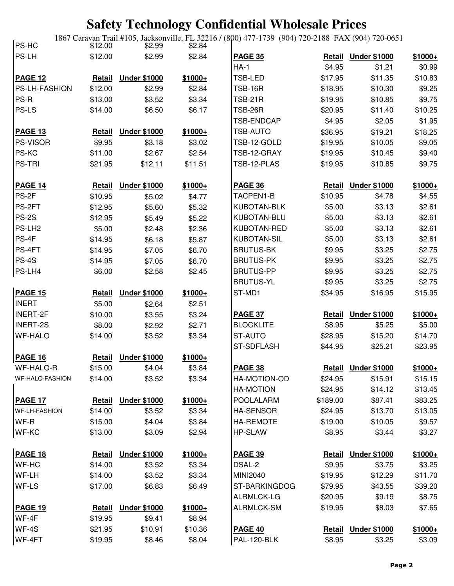1867 Caravan Trail #105, Jacksonville, FL 32216 / (800) 477-1739 (904) 720-2188 FAX (904) 720-0651

| PS-HC                | \$12.00       | \$2.99              | \$2.84   |                    |               |                     |          |
|----------------------|---------------|---------------------|----------|--------------------|---------------|---------------------|----------|
| PS-LH                | \$12.00       | \$2.99              | \$2.84   | <b>PAGE 35</b>     | <b>Retail</b> | <b>Under \$1000</b> | $$1000+$ |
|                      |               |                     |          | <b>HA-1</b>        | \$4.95        | \$1.21              | \$0.99   |
| <b>PAGE 12</b>       | <b>Retail</b> | <b>Under \$1000</b> | $$1000+$ | TSB-LED            | \$17.95       | \$11.35             | \$10.83  |
| PS-LH-FASHION        | \$12.00       | \$2.99              | \$2.84   | <b>TSB-16R</b>     | \$18.95       | \$10.30             | \$9.25   |
| PS-R                 | \$13.00       | \$3.52              | \$3.34   | <b>TSB-21R</b>     | \$19.95       | \$10.85             | \$9.75   |
| PS-LS                | \$14.00       | \$6.50              | \$6.17   | TSB-26R            | \$20.95       | \$11.40             | \$10.25  |
|                      |               |                     |          | TSB-ENDCAP         | \$4.95        | \$2.05              | \$1.95   |
| <b>PAGE 13</b>       | <b>Retail</b> | <b>Under \$1000</b> | $$1000+$ | TSB-AUTO           | \$36.95       | \$19.21             | \$18.25  |
| <b>PS-VISOR</b>      | \$9.95        | \$3.18              | \$3.02   | TSB-12-GOLD        | \$19.95       | \$10.05             | \$9.05   |
| PS-KC                | \$11.00       | \$2.67              | \$2.54   | TSB-12-GRAY        | \$19.95       | \$10.45             | \$9.40   |
| <b>PS-TRI</b>        | \$21.95       | \$12.11             | \$11.51  | TSB-12-PLAS        | \$19.95       | \$10.85             | \$9.75   |
| <b>PAGE 14</b>       | Retail        | <b>Under \$1000</b> | $$1000+$ | <b>PAGE 36</b>     | Retail        | <b>Under \$1000</b> | $$1000+$ |
| PS-2F                | \$10.95       | \$5.02              | \$4.77   | TACPEN1-B          | \$10.95       | \$4.78              | \$4.55   |
| PS-2FT               | \$12.95       | \$5.60              | \$5.32   | <b>KUBOTAN-BLK</b> | \$5.00        | \$3.13              | \$2.61   |
| <b>PS-2S</b>         | \$12.95       | \$5.49              | \$5.22   | KUBOTAN-BLU        | \$5.00        | \$3.13              | \$2.61   |
| PS-LH <sub>2</sub>   | \$5.00        | \$2.48              | \$2.36   | KUBOTAN-RED        | \$5.00        | \$3.13              | \$2.61   |
| PS-4F                | \$14.95       | \$6.18              | \$5.87   | <b>KUBOTAN-SIL</b> | \$5.00        | \$3.13              | \$2.61   |
| PS-4FT               | \$14.95       | \$7.05              | \$6.70   | <b>BRUTUS-BK</b>   | \$9.95        | \$3.25              | \$2.75   |
| <b>PS-4S</b>         | \$14.95       | \$7.05              | \$6.70   | <b>BRUTUS-PK</b>   | \$9.95        | \$3.25              | \$2.75   |
| PS-LH4               | \$6.00        | \$2.58              | \$2.45   | <b>BRUTUS-PP</b>   | \$9.95        | \$3.25              | \$2.75   |
|                      |               |                     |          | <b>BRUTUS-YL</b>   | \$9.95        | \$3.25              | \$2.75   |
| <b>PAGE 15</b>       | <b>Retail</b> | <b>Under \$1000</b> | $$1000+$ | ST-MD1             | \$34.95       | \$16.95             | \$15.95  |
| <b>INERT</b>         | \$5.00        | \$2.64              | \$2.51   |                    |               |                     |          |
| <b>INERT-2F</b>      | \$10.00       | \$3.55              | \$3.24   | <b>PAGE 37</b>     | <b>Retail</b> | <b>Under \$1000</b> | $$1000+$ |
| <b>INERT-2S</b>      | \$8.00        | \$2.92              | \$2.71   | <b>BLOCKLITE</b>   | \$8.95        | \$5.25              | \$5.00   |
| <b>WF-HALO</b>       | \$14.00       | \$3.52              | \$3.34   | ST-AUTO            | \$28.95       | \$15.20             | \$14.70  |
|                      |               |                     |          | <b>ST-SDFLASH</b>  | \$44.95       | \$25.21             | \$23.95  |
| <b>PAGE 16</b>       | <b>Retail</b> | <b>Under \$1000</b> | $$1000+$ |                    |               |                     |          |
| <b>WF-HALO-R</b>     | \$15.00       | \$4.04              | \$3.84   | <b>PAGE 38</b>     |               | Retail Under \$1000 | $$1000+$ |
| WF-HALO-FASHION      | \$14.00       | \$3.52              | \$3.34   | HA-MOTION-OD       | \$24.95       | \$15.91             | \$15.15  |
|                      |               |                     |          | <b>HA-MOTION</b>   | \$24.95       | \$14.12             | \$13.45  |
| <b>PAGE 17</b>       | <b>Retail</b> | <b>Under \$1000</b> | $$1000+$ | <b>POOLALARM</b>   | \$189.00      | \$87.41             | \$83.25  |
| <b>WF-LH-FASHION</b> | \$14.00       | \$3.52              | \$3.34   | <b>HA-SENSOR</b>   | \$24.95       | \$13.70             | \$13.05  |
| WF-R                 | \$15.00       | \$4.04              | \$3.84   | <b>HA-REMOTE</b>   | \$19.00       | \$10.05             | \$9.57   |
| <b>WF-KC</b>         | \$13.00       | \$3.09              | \$2.94   | <b>HP-SLAW</b>     | \$8.95        | \$3.44              | \$3.27   |
| <b>PAGE 18</b>       | <b>Retail</b> | <b>Under \$1000</b> | \$1000+  | <b>PAGE 39</b>     |               | Retail Under \$1000 | $$1000+$ |
| WF-HC                | \$14.00       | \$3.52              | \$3.34   | DSAL-2             | \$9.95        | \$3.75              | \$3.25   |
| WF-LH                | \$14.00       | \$3.52              | \$3.34   | MINI2040           | \$19.95       | \$12.29             | \$11.70  |
| WF-LS                | \$17.00       | \$6.83              | \$6.49   | ST-BARKINGDOG      | \$79.95       | \$43.55             | \$39.20  |
|                      |               |                     |          | ALRMLCK-LG         | \$20.95       | \$9.19              | \$8.75   |
| <b>PAGE 19</b>       | <b>Retail</b> | <b>Under \$1000</b> | $$1000+$ | <b>ALRMLCK-SM</b>  | \$19.95       | \$8.03              | \$7.65   |
| WF-4F                | \$19.95       | \$9.41              | \$8.94   |                    |               |                     |          |
| WF-4S                | \$21.95       | \$10.91             | \$10.36  | <b>PAGE 40</b>     |               | Retail Under \$1000 | $$1000+$ |
| WF-4FT               | \$19.95       | \$8.46              | \$8.04   | PAL-120-BLK        | \$8.95        | \$3.25              | \$3.09   |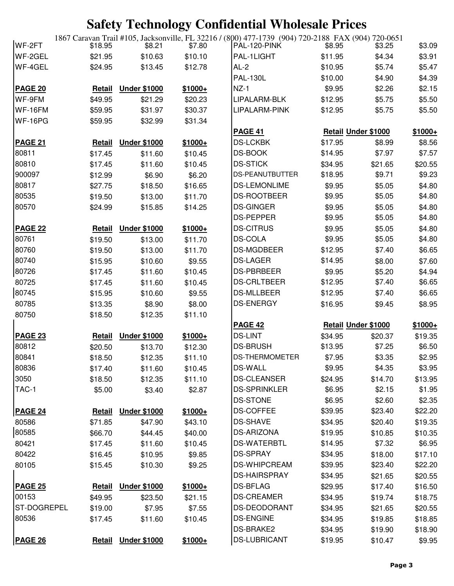| WF-2FT                  | \$18.95       | \$8.21              | o⊽<br>\$7.80 | 1867 Caravan Trail #105, Jacksonville, FL 32216 / (800) 477-1739 (904) 720-2188 FAX (904) 720-0651<br>PAL-120-PINK | \$8.95                     | \$3.25             | \$3.09            |
|-------------------------|---------------|---------------------|--------------|--------------------------------------------------------------------------------------------------------------------|----------------------------|--------------------|-------------------|
| WF-2GEL                 | \$21.95       | \$10.63             | \$10.10      | PAL-1LIGHT                                                                                                         | \$11.95                    | \$4.34             | \$3.91            |
| WF-4GEL                 | \$24.95       | \$13.45             | \$12.78      | AL-2                                                                                                               | \$10.95                    | \$5.74             | \$5.47            |
|                         |               |                     |              | <b>PAL-130L</b>                                                                                                    | \$10.00                    | \$4.90             | \$4.39            |
| <b>PAGE 20</b>          | <b>Retail</b> | <b>Under \$1000</b> | $$1000+$     | $NZ-1$                                                                                                             | \$9.95                     | \$2.26             | \$2.15            |
| WF-9FM                  | \$49.95       | \$21.29             | \$20.23      | LIPALARM-BLK                                                                                                       | \$12.95                    | \$5.75             | \$5.50            |
| WF-16FM                 | \$59.95       | \$31.97             | \$30.37      | LIPALARM-PINK                                                                                                      | \$12.95                    | \$5.75             | \$5.50            |
| WF-16PG                 | \$59.95       | \$32.99             | \$31.34      |                                                                                                                    |                            |                    |                   |
|                         |               |                     |              | <b>PAGE 41</b>                                                                                                     | <b>Retail Under \$1000</b> |                    | $$1000+$          |
| <b>PAGE 21</b>          | <b>Retail</b> | <b>Under \$1000</b> | $$1000+$     | <b>DS-LCKBK</b>                                                                                                    | \$17.95                    | \$8.99             | \$8.56            |
| 80811                   | \$17.45       | \$11.60             | \$10.45      | <b>DS-BOOK</b>                                                                                                     | \$14.95                    | \$7.97             | \$7.57            |
| 80810                   | \$17.45       | \$11.60             | \$10.45      | <b>DS-STICK</b>                                                                                                    | \$34.95                    | \$21.65            | \$20.55           |
| 900097                  | \$12.99       | \$6.90              | \$6.20       | <b>DS-PEANUTBUTTER</b>                                                                                             | \$18.95                    | \$9.71             | \$9.23            |
| 80817                   | \$27.75       | \$18.50             | \$16.65      | <b>DS-LEMONLIME</b>                                                                                                | \$9.95                     | \$5.05             | \$4.80            |
| 80535                   | \$19.50       | \$13.00             | \$11.70      | <b>DS-ROOTBEER</b>                                                                                                 | \$9.95                     | \$5.05             | \$4.80            |
| 80570                   | \$24.99       | \$15.85             | \$14.25      | DS-GINGER                                                                                                          | \$9.95                     | \$5.05             | \$4.80            |
|                         |               |                     |              | <b>DS-PEPPER</b>                                                                                                   | \$9.95                     | \$5.05             | \$4.80            |
| PAGE 22                 | <b>Retail</b> | <b>Under \$1000</b> | $$1000+$     | <b>DS-CITRUS</b>                                                                                                   | \$9.95                     | \$5.05             | \$4.80            |
| 80761                   | \$19.50       | \$13.00             | \$11.70      | <b>DS-COLA</b>                                                                                                     | \$9.95                     | \$5.05             | \$4.80            |
| 80760                   | \$19.50       | \$13.00             | \$11.70      | <b>DS-MGDBEER</b>                                                                                                  | \$12.95                    | \$7.40             | \$6.65            |
| 80740                   | \$15.95       | \$10.60             | \$9.55       | <b>DS-LAGER</b>                                                                                                    | \$14.95                    | \$8.00             | \$7.60            |
| 80726                   | \$17.45       | \$11.60             | \$10.45      | <b>DS-PBRBEER</b>                                                                                                  | \$9.95                     | \$5.20             | \$4.94            |
| 80725                   | \$17.45       | \$11.60             | \$10.45      | <b>DS-CRLTBEER</b>                                                                                                 | \$12.95                    | \$7.40             | \$6.65            |
| 80745                   | \$15.95       | \$10.60             | \$9.55       | <b>DS-MLLBEER</b>                                                                                                  | \$12.95                    | \$7.40             | \$6.65            |
| 80785                   | \$13.35       | \$8.90              | \$8.00       | <b>DS-ENERGY</b>                                                                                                   | \$16.95                    | \$9.45             | \$8.95            |
| 80750                   | \$18.50       | \$12.35             | \$11.10      |                                                                                                                    |                            |                    |                   |
|                         |               |                     |              | <b>PAGE 42</b>                                                                                                     | <b>Retail Under \$1000</b> |                    | $$1000+$          |
| <b>PAGE 23</b>          | <b>Retail</b> | <b>Under \$1000</b> | $$1000+$     | DS-LINT                                                                                                            | \$34.95                    | \$20.37            | \$19.35           |
| 80812                   | \$20.50       | \$13.70             | \$12.30      | <b>DS-BRUSH</b>                                                                                                    | \$13.95                    | \$7.25             | \$6.50            |
| 80841                   | \$18.50       | \$12.35             | \$11.10      | <b>DS-THERMOMETER</b>                                                                                              | \$7.95                     | \$3.35             | \$2.95            |
| 80836                   | \$17.40       | \$11.60             | \$10.45      | <b>DS-WALL</b>                                                                                                     | \$9.95                     | \$4.35             | \$3.95            |
| 3050                    | \$18.50       | \$12.35             | \$11.10      | <b>DS-CLEANSER</b>                                                                                                 | \$24.95                    | \$14.70            | \$13.95           |
| TAC-1                   | \$5.00        | \$3.40              | \$2.87       | DS-SPRINKLER                                                                                                       | \$6.95                     | \$2.15             | \$1.95            |
|                         |               |                     |              | <b>DS-STONE</b>                                                                                                    | \$6.95                     | \$2.60             | \$2.35            |
| <b>PAGE 24</b>          | <b>Retail</b> | <b>Under \$1000</b> | $$1000+$     | <b>DS-COFFEE</b>                                                                                                   | \$39.95                    | \$23.40            | \$22.20           |
| 80586                   | \$71.85       | \$47.90             | \$43.10      | <b>DS-SHAVE</b>                                                                                                    | \$34.95                    | \$20.40            | \$19.35           |
| 80585                   |               | \$44.45             | \$40.00      | <b>DS-ARIZONA</b>                                                                                                  | \$19.95                    | \$10.85            |                   |
|                         | \$66.70       |                     |              | <b>DS-WATERBTL</b>                                                                                                 | \$14.95                    | \$7.32             | \$10.35<br>\$6.95 |
| 80421<br>80422          | \$17.45       | \$11.60             | \$10.45      | <b>DS-SPRAY</b>                                                                                                    |                            |                    |                   |
|                         | \$16.45       | \$10.95             | \$9.85       | DS-WHIPCREAM                                                                                                       | \$34.95                    | \$18.00<br>\$23.40 | \$17.10           |
| 80105                   | \$15.45       | \$10.30             | \$9.25       | <b>DS-HAIRSPRAY</b>                                                                                                | \$39.95                    |                    | \$22.20           |
|                         |               |                     |              | <b>DS-BFLAG</b>                                                                                                    | \$34.95                    | \$21.65            | \$20.55           |
| <b>PAGE 25</b><br>00153 | Retail        | <b>Under \$1000</b> | $$1000+$     | <b>DS-CREAMER</b>                                                                                                  | \$29.95                    | \$17.40            | \$16.50           |
| ST-DOGREPEL             | \$49.95       | \$23.50             | \$21.15      |                                                                                                                    | \$34.95                    | \$19.74            | \$18.75           |
|                         | \$19.00       | \$7.95              | \$7.55       | DS-DEODORANT                                                                                                       | \$34.95                    | \$21.65            | \$20.55           |
| 80536                   | \$17.45       | \$11.60             | \$10.45      | <b>DS-ENGINE</b>                                                                                                   | \$34.95                    | \$19.85            | \$18.85           |
|                         |               |                     |              | DS-BRAKE2                                                                                                          | \$34.95                    | \$19.90            | \$18.90           |
| <b>PAGE 26</b>          | <b>Retail</b> | <b>Under \$1000</b> | $$1000+$     | <b>DS-LUBRICANT</b>                                                                                                | \$19.95                    | \$10.47            | \$9.95            |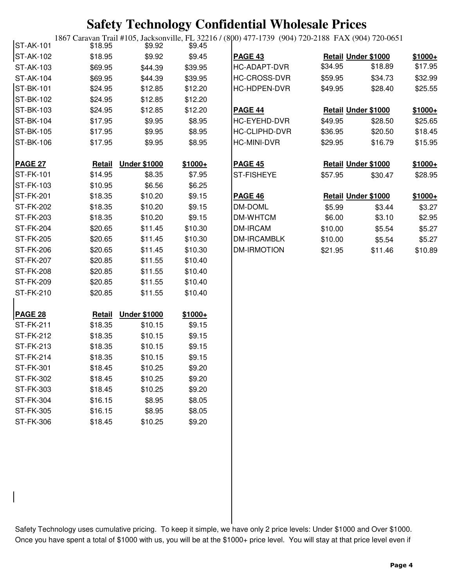| ST-AK-101        | \$18.95       | \$9.92              | \$9.45   | 1867 Caravan Trail #105, Jacksonville, FL 32216 / (800) 477-1739 (904) 720-2188 FAX (904) 720-0651 |         |                            |          |
|------------------|---------------|---------------------|----------|----------------------------------------------------------------------------------------------------|---------|----------------------------|----------|
| ST-AK-102        | \$18.95       | \$9.92              | \$9.45   | <b>PAGE 43</b>                                                                                     |         | <b>Retail Under \$1000</b> | $$1000+$ |
| ST-AK-103        | \$69.95       | \$44.39             | \$39.95  | HC-ADAPT-DVR                                                                                       | \$34.95 | \$18.89                    | \$17.95  |
| <b>ST-AK-104</b> | \$69.95       | \$44.39             | \$39.95  | HC-CROSS-DVR                                                                                       | \$59.95 | \$34.73                    | \$32.99  |
| <b>ST-BK-101</b> | \$24.95       | \$12.85             | \$12.20  | HC-HDPEN-DVR                                                                                       | \$49.95 | \$28.40                    | \$25.55  |
| <b>ST-BK-102</b> | \$24.95       | \$12.85             | \$12.20  |                                                                                                    |         |                            |          |
| <b>ST-BK-103</b> | \$24.95       | \$12.85             | \$12.20  | <b>PAGE 44</b>                                                                                     |         | <b>Retail Under \$1000</b> | $$1000+$ |
| <b>ST-BK-104</b> | \$17.95       | \$9.95              | \$8.95   | HC-EYEHD-DVR                                                                                       | \$49.95 | \$28.50                    | \$25.65  |
| <b>ST-BK-105</b> | \$17.95       | \$9.95              | \$8.95   | <b>HC-CLIPHD-DVR</b>                                                                               | \$36.95 | \$20.50                    | \$18.45  |
| <b>ST-BK-106</b> | \$17.95       | \$9.95              | \$8.95   | <b>HC-MINI-DVR</b>                                                                                 | \$29.95 | \$16.79                    | \$15.95  |
| <b>PAGE 27</b>   | <b>Retail</b> | <b>Under \$1000</b> | $$1000+$ | <b>PAGE 45</b>                                                                                     |         | <b>Retail Under \$1000</b> | $$1000+$ |
| <b>ST-FK-101</b> | \$14.95       | \$8.35              | \$7.95   | <b>ST-FISHEYE</b>                                                                                  | \$57.95 | \$30.47                    | \$28.95  |
| ST-FK-103        | \$10.95       | \$6.56              | \$6.25   |                                                                                                    |         |                            |          |
| ST-FK-201        | \$18.35       | \$10.20             | \$9.15   | <b>PAGE 46</b>                                                                                     |         | <b>Retail Under \$1000</b> | $$1000+$ |
| <b>ST-FK-202</b> | \$18.35       | \$10.20             | \$9.15   | DM-DOML                                                                                            | \$5.99  | \$3.44                     | \$3.27   |
| <b>ST-FK-203</b> | \$18.35       | \$10.20             | \$9.15   | DM-WHTCM                                                                                           | \$6.00  | \$3.10                     | \$2.95   |
| <b>ST-FK-204</b> | \$20.65       | \$11.45             | \$10.30  | <b>DM-IRCAM</b>                                                                                    | \$10.00 | \$5.54                     | \$5.27   |
| <b>ST-FK-205</b> | \$20.65       | \$11.45             | \$10.30  | DM-IRCAMBLK                                                                                        | \$10.00 | \$5.54                     | \$5.27   |
| <b>ST-FK-206</b> | \$20.65       | \$11.45             | \$10.30  | DM-IRMOTION                                                                                        | \$21.95 | \$11.46                    | \$10.89  |
| <b>ST-FK-207</b> | \$20.85       | \$11.55             | \$10.40  |                                                                                                    |         |                            |          |
| <b>ST-FK-208</b> | \$20.85       | \$11.55             | \$10.40  |                                                                                                    |         |                            |          |
| <b>ST-FK-209</b> | \$20.85       | \$11.55             | \$10.40  |                                                                                                    |         |                            |          |
| ST-FK-210        | \$20.85       | \$11.55             | \$10.40  |                                                                                                    |         |                            |          |
| PAGE 28          | <b>Retail</b> | <b>Under \$1000</b> | $$1000+$ |                                                                                                    |         |                            |          |
| <b>ST-FK-211</b> | \$18.35       | \$10.15             | \$9.15   |                                                                                                    |         |                            |          |
| ST-FK-212        | \$18.35       | \$10.15             | \$9.15   |                                                                                                    |         |                            |          |
| <b>ST-FK-213</b> | \$18.35       | \$10.15             | \$9.15   |                                                                                                    |         |                            |          |
| <b>ST-FK-214</b> | \$18.35       | \$10.15             | \$9.15   |                                                                                                    |         |                            |          |
| <b>ST-FK-301</b> | \$18.45       | \$10.25             | \$9.20   |                                                                                                    |         |                            |          |
| <b>ST-FK-302</b> | \$18.45       | \$10.25             | \$9.20   |                                                                                                    |         |                            |          |
| ST-FK-303        | \$18.45       | \$10.25             | \$9.20   |                                                                                                    |         |                            |          |
| <b>ST-FK-304</b> | \$16.15       | \$8.95              | \$8.05   |                                                                                                    |         |                            |          |
| <b>ST-FK-305</b> | \$16.15       | \$8.95              | \$8.05   |                                                                                                    |         |                            |          |
| <b>ST-FK-306</b> | \$18.45       | \$10.25             | \$9.20   |                                                                                                    |         |                            |          |

Safety Technology uses cumulative pricing. To keep it simple, we have only 2 price levels: Under \$1000 and Over \$1000. Once you have spent a total of \$1000 with us, you will be at the \$1000+ price level. You will stay at that price level even if

 $\overline{\phantom{a}}$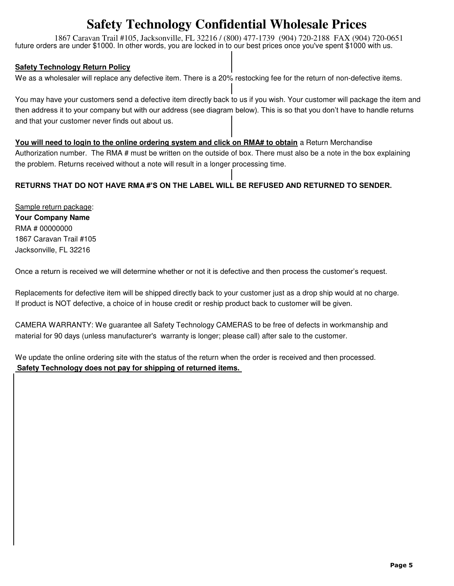1867 Caravan Trail #105, Jacksonville, FL 32216 / (800) 477-1739 (904) 720-2188 FAX (904) 720-0651 future orders are under \$1000. In other words, you are locked in to our best prices once you've spent \$1000 with us.

#### **Safety Technology Return Policy**

We as a wholesaler will replace any defective item. There is a 20% restocking fee for the return of non-defective items.

You may have your customers send a defective item directly back to us if you wish. Your customer will package the item and then address it to your company but with our address (see diagram below). This is so that you don't have to handle returns and that your customer never finds out about us.

#### **You will need to login to the online ordering system and click on RMA# to obtain** a Return Merchandise

Authorization number. The RMA # must be written on the outside of box. There must also be a note in the box explaining the problem. Returns received without a note will result in a longer processing time.

#### **RETURNS THAT DO NOT HAVE RMA #'S ON THE LABEL WILL BE REFUSED AND RETURNED TO SENDER.**

Sample return package: **Your Company Name** RMA # 00000000 1867 Caravan Trail #105 Jacksonville, FL 32216

Once a return is received we will determine whether or not it is defective and then process the customer's request.

Replacements for defective item will be shipped directly back to your customer just as a drop ship would at no charge. If product is NOT defective, a choice of in house credit or reship product back to customer will be given.

CAMERA WARRANTY: We guarantee all Safety Technology CAMERAS to be free of defects in workmanship and material for 90 days (unless manufacturer's warranty is longer; please call) after sale to the customer.

We update the online ordering site with the status of the return when the order is received and then processed.  **Safety Technology does not pay for shipping of returned items.**